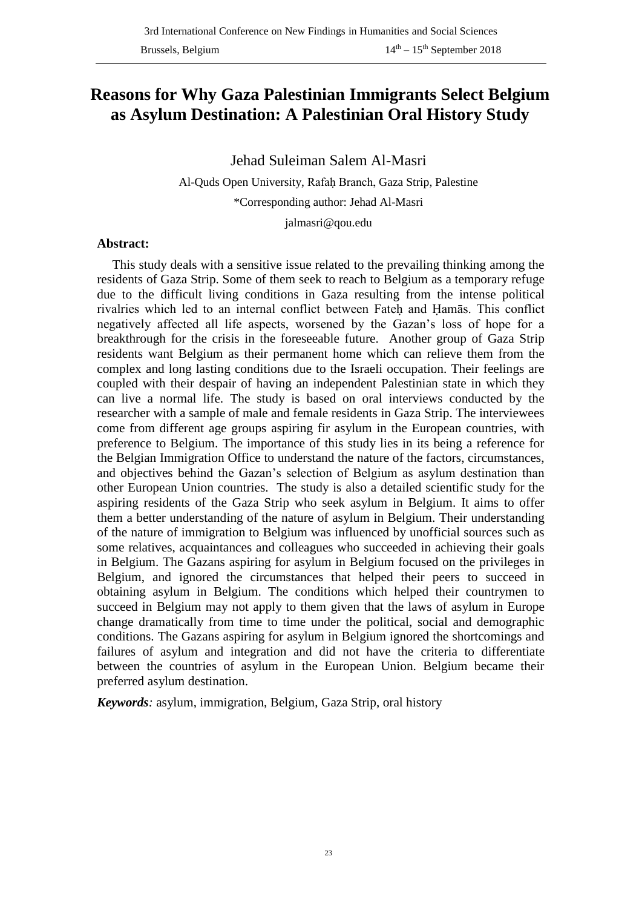# **Reasons for Why Gaza Palestinian Immigrants Select Belgium as Asylum Destination: A Palestinian Oral History Study**

Jehad Suleiman Salem Al-Masri

Al-Quds Open University, Rafaḥ Branch, Gaza Strip, Palestine

\*Corresponding author: Jehad Al-Masri

jalmasri@qou.edu

#### **Abstract:**

This study deals with a sensitive issue related to the prevailing thinking among the residents of Gaza Strip. Some of them seek to reach to Belgium as a temporary refuge due to the difficult living conditions in Gaza resulting from the intense political rivalries which led to an internal conflict between Fateḥ and Ḥamās. This conflict negatively affected all life aspects, worsened by the Gazan's loss of hope for a breakthrough for the crisis in the foreseeable future. Another group of Gaza Strip residents want Belgium as their permanent home which can relieve them from the complex and long lasting conditions due to the Israeli occupation. Their feelings are coupled with their despair of having an independent Palestinian state in which they can live a normal life. The study is based on oral interviews conducted by the researcher with a sample of male and female residents in Gaza Strip. The interviewees come from different age groups aspiring fir asylum in the European countries, with preference to Belgium. The importance of this study lies in its being a reference for the Belgian Immigration Office to understand the nature of the factors, circumstances, and objectives behind the Gazan's selection of Belgium as asylum destination than other European Union countries. The study is also a detailed scientific study for the aspiring residents of the Gaza Strip who seek asylum in Belgium. It aims to offer them a better understanding of the nature of asylum in Belgium. Their understanding of the nature of immigration to Belgium was influenced by unofficial sources such as some relatives, acquaintances and colleagues who succeeded in achieving their goals in Belgium. The Gazans aspiring for asylum in Belgium focused on the privileges in Belgium, and ignored the circumstances that helped their peers to succeed in obtaining asylum in Belgium. The conditions which helped their countrymen to succeed in Belgium may not apply to them given that the laws of asylum in Europe change dramatically from time to time under the political, social and demographic conditions. The Gazans aspiring for asylum in Belgium ignored the shortcomings and failures of asylum and integration and did not have the criteria to differentiate between the countries of asylum in the European Union. Belgium became their preferred asylum destination.

*Keywords:* asylum, immigration, Belgium, Gaza Strip, oral history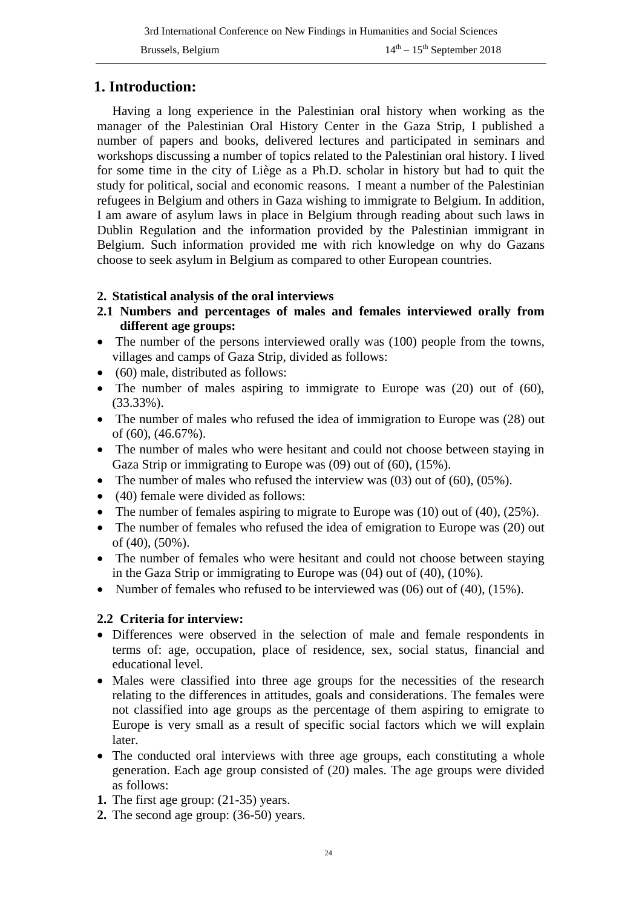## **1. Introduction:**

Having a long experience in the Palestinian oral history when working as the manager of the Palestinian Oral History Center in the Gaza Strip, I published a number of papers and books, delivered lectures and participated in seminars and workshops discussing a number of topics related to the Palestinian oral history. I lived for some time in the city of Liège as a Ph.D. scholar in history but had to quit the study for political, social and economic reasons. I meant a number of the Palestinian refugees in Belgium and others in Gaza wishing to immigrate to Belgium. In addition, I am aware of asylum laws in place in Belgium through reading about such laws in Dublin Regulation and the information provided by the Palestinian immigrant in Belgium. Such information provided me with rich knowledge on why do Gazans choose to seek asylum in Belgium as compared to other European countries.

#### **2. Statistical analysis of the oral interviews**

- **2.1 Numbers and percentages of males and females interviewed orally from different age groups:**
- The number of the persons interviewed orally was (100) people from the towns, villages and camps of Gaza Strip, divided as follows:
- (60) male, distributed as follows:
- The number of males aspiring to immigrate to Europe was (20) out of (60), (33.33%).
- The number of males who refused the idea of immigration to Europe was (28) out of (60), (46.67%).
- The number of males who were hesitant and could not choose between staying in Gaza Strip or immigrating to Europe was (09) out of (60), (15%).
- The number of males who refused the interview was  $(03)$  out of  $(60)$ ,  $(05\%)$ .
- (40) female were divided as follows:
- The number of females aspiring to migrate to Europe was (10) out of (40), (25%).
- The number of females who refused the idea of emigration to Europe was (20) out of (40), (50%).
- The number of females who were hesitant and could not choose between staying in the Gaza Strip or immigrating to Europe was (04) out of (40), (10%).
- Number of females who refused to be interviewed was  $(06)$  out of  $(40)$ ,  $(15\%)$ .

#### **2.2 Criteria for interview:**

- Differences were observed in the selection of male and female respondents in terms of: age, occupation, place of residence, sex, social status, financial and educational level.
- Males were classified into three age groups for the necessities of the research relating to the differences in attitudes, goals and considerations. The females were not classified into age groups as the percentage of them aspiring to emigrate to Europe is very small as a result of specific social factors which we will explain later.
- The conducted oral interviews with three age groups, each constituting a whole generation. Each age group consisted of (20) males. The age groups were divided as follows:
- **1.** The first age group: (21-35) years.
- **2.** The second age group: (36-50) years.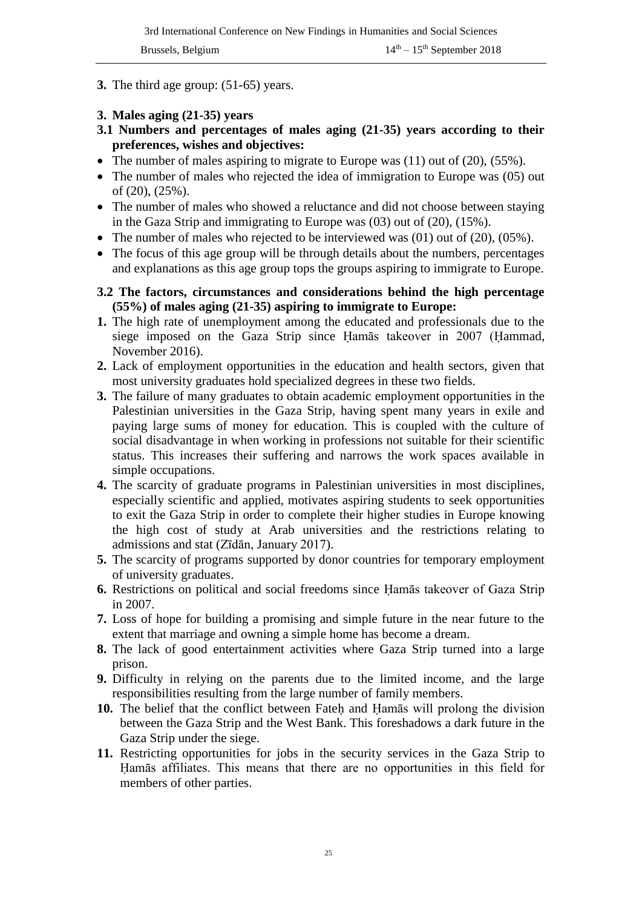- **3.** The third age group: (51-65) years.
- **3. Males aging (21-35) years**
- **3.1 Numbers and percentages of males aging (21-35) years according to their preferences, wishes and objectives:**
- The number of males aspiring to migrate to Europe was (11) out of (20), (55%).
- The number of males who rejected the idea of immigration to Europe was (05) out of (20), (25%).
- The number of males who showed a reluctance and did not choose between staying in the Gaza Strip and immigrating to Europe was (03) out of (20), (15%).
- The number of males who rejected to be interviewed was  $(01)$  out of  $(20)$ ,  $(05\%)$ .
- The focus of this age group will be through details about the numbers, percentages and explanations as this age group tops the groups aspiring to immigrate to Europe.
- **3.2 The factors, circumstances and considerations behind the high percentage (55%) of males aging (21-35) aspiring to immigrate to Europe:**
- **1.** The high rate of unemployment among the educated and professionals due to the siege imposed on the Gaza Strip since Ḥamās takeover in 2007 (Ḥammad, November 2016).
- **2.** Lack of employment opportunities in the education and health sectors, given that most university graduates hold specialized degrees in these two fields.
- **3.** The failure of many graduates to obtain academic employment opportunities in the Palestinian universities in the Gaza Strip, having spent many years in exile and paying large sums of money for education. This is coupled with the culture of social disadvantage in when working in professions not suitable for their scientific status. This increases their suffering and narrows the work spaces available in simple occupations.
- **4.** The scarcity of graduate programs in Palestinian universities in most disciplines, especially scientific and applied, motivates aspiring students to seek opportunities to exit the Gaza Strip in order to complete their higher studies in Europe knowing the high cost of study at Arab universities and the restrictions relating to admissions and stat (Zīdān, January 2017).
- **5.** The scarcity of programs supported by donor countries for temporary employment of university graduates.
- **6.** Restrictions on political and social freedoms since Ḥamās takeover of Gaza Strip in 2007.
- **7.** Loss of hope for building a promising and simple future in the near future to the extent that marriage and owning a simple home has become a dream.
- **8.** The lack of good entertainment activities where Gaza Strip turned into a large prison.
- **9.** Difficulty in relying on the parents due to the limited income, and the large responsibilities resulting from the large number of family members.
- **10.** The belief that the conflict between Fateḥ and Ḥamās will prolong the division between the Gaza Strip and the West Bank. This foreshadows a dark future in the Gaza Strip under the siege.
- **11.** Restricting opportunities for jobs in the security services in the Gaza Strip to Ḥamās affiliates. This means that there are no opportunities in this field for members of other parties.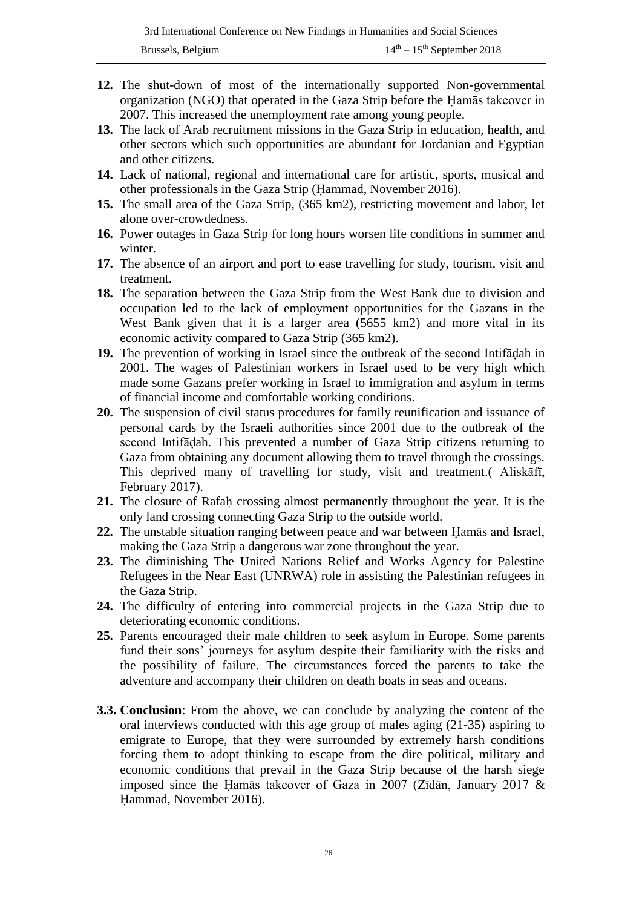- **12.** The shut-down of most of the internationally supported Non-governmental organization (NGO) that operated in the Gaza Strip before the Ḥamās takeover in 2007. This increased the unemployment rate among young people.
- **13.** The lack of Arab recruitment missions in the Gaza Strip in education, health, and other sectors which such opportunities are abundant for Jordanian and Egyptian and other citizens.
- **14.** Lack of national, regional and international care for artistic, sports, musical and other professionals in the Gaza Strip (Ḥammad, November 2016).
- **15.** The small area of the Gaza Strip, (365 km2), restricting movement and labor, let alone over-crowdedness.
- **16.** Power outages in Gaza Strip for long hours worsen life conditions in summer and winter.
- **17.** The absence of an airport and port to ease travelling for study, tourism, visit and treatment.
- **18.** The separation between the Gaza Strip from the West Bank due to division and occupation led to the lack of employment opportunities for the Gazans in the West Bank given that it is a larger area (5655 km2) and more vital in its economic activity compared to Gaza Strip (365 km2).
- **19.** The prevention of working in Israel since the outbreak of the second Intifāḍah in 2001. The wages of Palestinian workers in Israel used to be very high which made some Gazans prefer working in Israel to immigration and asylum in terms of financial income and comfortable working conditions.
- **20.** The suspension of civil status procedures for family reunification and issuance of personal cards by the Israeli authorities since 2001 due to the outbreak of the second Intifāḍah. This prevented a number of Gaza Strip citizens returning to Gaza from obtaining any document allowing them to travel through the crossings. This deprived many of travelling for study, visit and treatment.( Aliskāfī, February 2017).
- **21.** The closure of Rafaḥ crossing almost permanently throughout the year. It is the only land crossing connecting Gaza Strip to the outside world.
- **22.** The unstable situation ranging between peace and war between Ḥamās and Israel, making the Gaza Strip a dangerous war zone throughout the year.
- **23.** The diminishing The United Nations Relief and Works Agency for Palestine Refugees in the Near East (UNRWA) role in assisting the Palestinian refugees in the Gaza Strip.
- **24.** The difficulty of entering into commercial projects in the Gaza Strip due to deteriorating economic conditions.
- **25.** Parents encouraged their male children to seek asylum in Europe. Some parents fund their sons' journeys for asylum despite their familiarity with the risks and the possibility of failure. The circumstances forced the parents to take the adventure and accompany their children on death boats in seas and oceans.
- **3.3. Conclusion**: From the above, we can conclude by analyzing the content of the oral interviews conducted with this age group of males aging (21-35) aspiring to emigrate to Europe, that they were surrounded by extremely harsh conditions forcing them to adopt thinking to escape from the dire political, military and economic conditions that prevail in the Gaza Strip because of the harsh siege imposed since the Ḥamās takeover of Gaza in 2007 (Zīdān, January 2017 & Ḥammad, November 2016).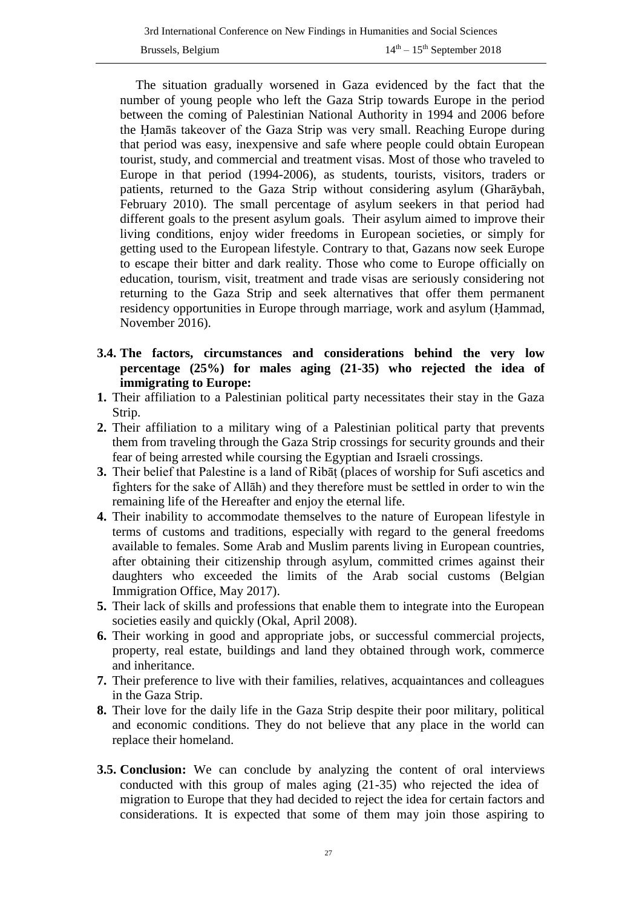The situation gradually worsened in Gaza evidenced by the fact that the number of young people who left the Gaza Strip towards Europe in the period between the coming of Palestinian National Authority in 1994 and 2006 before the Ḥamās takeover of the Gaza Strip was very small. Reaching Europe during that period was easy, inexpensive and safe where people could obtain European tourist, study, and commercial and treatment visas. Most of those who traveled to Europe in that period (1994-2006), as students, tourists, visitors, traders or patients, returned to the Gaza Strip without considering asylum (Gharāybah, February 2010). The small percentage of asylum seekers in that period had different goals to the present asylum goals. Their asylum aimed to improve their living conditions, enjoy wider freedoms in European societies, or simply for getting used to the European lifestyle. Contrary to that, Gazans now seek Europe to escape their bitter and dark reality. Those who come to Europe officially on education, tourism, visit, treatment and trade visas are seriously considering not returning to the Gaza Strip and seek alternatives that offer them permanent residency opportunities in Europe through marriage, work and asylum (Ḥammad, November 2016).

- **3.4. The factors, circumstances and considerations behind the very low percentage (25%) for males aging (21-35) who rejected the idea of immigrating to Europe:**
- **1.** Their affiliation to a Palestinian political party necessitates their stay in the Gaza Strip.
- **2.** Their affiliation to a military wing of a Palestinian political party that prevents them from traveling through the Gaza Strip crossings for security grounds and their fear of being arrested while coursing the Egyptian and Israeli crossings.
- **3.** Their belief that Palestine is a land of Ribāṭ (places of worship for Sufi ascetics and fighters for the sake of Allāh) and they therefore must be settled in order to win the remaining life of the Hereafter and enjoy the eternal life.
- **4.** Their inability to accommodate themselves to the nature of European lifestyle in terms of customs and traditions, especially with regard to the general freedoms available to females. Some Arab and Muslim parents living in European countries, after obtaining their citizenship through asylum, committed crimes against their daughters who exceeded the limits of the Arab social customs (Belgian Immigration Office, May 2017).
- **5.** Their lack of skills and professions that enable them to integrate into the European societies easily and quickly (Okal, April 2008).
- **6.** Their working in good and appropriate jobs, or successful commercial projects, property, real estate, buildings and land they obtained through work, commerce and inheritance.
- **7.** Their preference to live with their families, relatives, acquaintances and colleagues in the Gaza Strip.
- **8.** Their love for the daily life in the Gaza Strip despite their poor military, political and economic conditions. They do not believe that any place in the world can replace their homeland.
- **3.5. Conclusion:** We can conclude by analyzing the content of oral interviews conducted with this group of males aging (21-35) who rejected the idea of migration to Europe that they had decided to reject the idea for certain factors and considerations. It is expected that some of them may join those aspiring to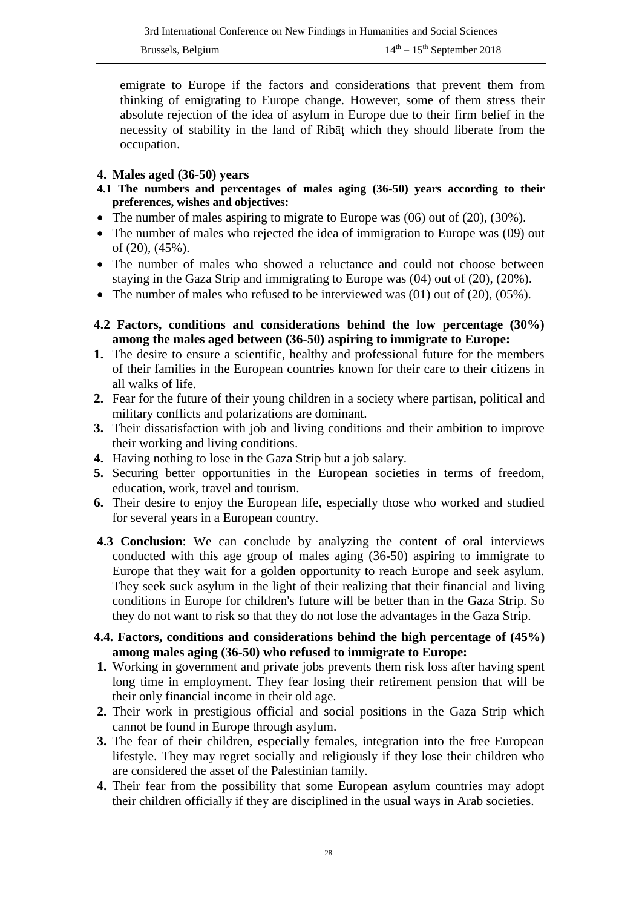emigrate to Europe if the factors and considerations that prevent them from thinking of emigrating to Europe change. However, some of them stress their absolute rejection of the idea of asylum in Europe due to their firm belief in the necessity of stability in the land of Ribāṭ which they should liberate from the occupation.

#### **4. Males aged (36-50) years**

- **4.1 The numbers and percentages of males aging (36-50) years according to their preferences, wishes and objectives:**
- The number of males aspiring to migrate to Europe was (06) out of (20), (30%).
- The number of males who rejected the idea of immigration to Europe was (09) out of (20), (45%).
- The number of males who showed a reluctance and could not choose between staying in the Gaza Strip and immigrating to Europe was (04) out of (20), (20%).
- The number of males who refused to be interviewed was  $(01)$  out of  $(20)$ ,  $(05\%)$ .
- **4.2 Factors, conditions and considerations behind the low percentage (30%) among the males aged between (36-50) aspiring to immigrate to Europe:**
- **1.** The desire to ensure a scientific, healthy and professional future for the members of their families in the European countries known for their care to their citizens in all walks of life.
- **2.** Fear for the future of their young children in a society where partisan, political and military conflicts and polarizations are dominant.
- **3.** Their dissatisfaction with job and living conditions and their ambition to improve their working and living conditions.
- **4.** Having nothing to lose in the Gaza Strip but a job salary.
- **5.** Securing better opportunities in the European societies in terms of freedom, education, work, travel and tourism.
- **6.** Their desire to enjoy the European life, especially those who worked and studied for several years in a European country.
- **4.3 Conclusion**: We can conclude by analyzing the content of oral interviews conducted with this age group of males aging (36-50) aspiring to immigrate to Europe that they wait for a golden opportunity to reach Europe and seek asylum. They seek suck asylum in the light of their realizing that their financial and living conditions in Europe for children's future will be better than in the Gaza Strip. So they do not want to risk so that they do not lose the advantages in the Gaza Strip.
- **4.4. Factors, conditions and considerations behind the high percentage of (45%) among males aging (36-50) who refused to immigrate to Europe:**
- **1.** Working in government and private jobs prevents them risk loss after having spent long time in employment. They fear losing their retirement pension that will be their only financial income in their old age.
- **2.** Their work in prestigious official and social positions in the Gaza Strip which cannot be found in Europe through asylum.
- **3.** The fear of their children, especially females, integration into the free European lifestyle. They may regret socially and religiously if they lose their children who are considered the asset of the Palestinian family.
- **4.** Their fear from the possibility that some European asylum countries may adopt their children officially if they are disciplined in the usual ways in Arab societies.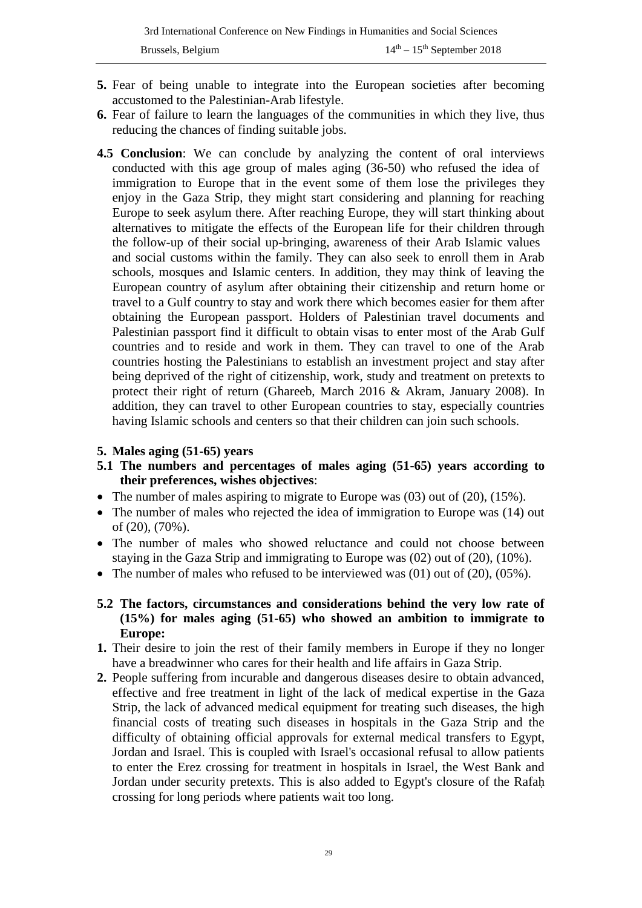- **5.** Fear of being unable to integrate into the European societies after becoming accustomed to the Palestinian-Arab lifestyle.
- **6.** Fear of failure to learn the languages of the communities in which they live, thus reducing the chances of finding suitable jobs.
- **4.5 Conclusion**: We can conclude by analyzing the content of oral interviews conducted with this age group of males aging (36-50) who refused the idea of immigration to Europe that in the event some of them lose the privileges they enjoy in the Gaza Strip, they might start considering and planning for reaching Europe to seek asylum there. After reaching Europe, they will start thinking about alternatives to mitigate the effects of the European life for their children through the follow-up of their social up-bringing, awareness of their Arab Islamic values and social customs within the family. They can also seek to enroll them in Arab schools, mosques and Islamic centers. In addition, they may think of leaving the European country of asylum after obtaining their citizenship and return home or travel to a Gulf country to stay and work there which becomes easier for them after obtaining the European passport. Holders of Palestinian travel documents and Palestinian passport find it difficult to obtain visas to enter most of the Arab Gulf countries and to reside and work in them. They can travel to one of the Arab countries hosting the Palestinians to establish an investment project and stay after being deprived of the right of citizenship, work, study and treatment on pretexts to protect their right of return (Ghareeb, March 2016 & Akram, January 2008). In addition, they can travel to other European countries to stay, especially countries having Islamic schools and centers so that their children can join such schools.

#### **5. Males aging (51-65) years**

- **5.1 The numbers and percentages of males aging (51-65) years according to their preferences, wishes objectives**:
- The number of males aspiring to migrate to Europe was  $(03)$  out of  $(20)$ ,  $(15\%)$ .
- The number of males who rejected the idea of immigration to Europe was (14) out of (20), (70%).
- The number of males who showed reluctance and could not choose between staying in the Gaza Strip and immigrating to Europe was (02) out of (20), (10%).
- The number of males who refused to be interviewed was  $(01)$  out of  $(20)$ ,  $(05\%)$ .
- **5.2 The factors, circumstances and considerations behind the very low rate of (15%) for males aging (51-65) who showed an ambition to immigrate to Europe:**
- **1.** Their desire to join the rest of their family members in Europe if they no longer have a breadwinner who cares for their health and life affairs in Gaza Strip.
- **2.** People suffering from incurable and dangerous diseases desire to obtain advanced, effective and free treatment in light of the lack of medical expertise in the Gaza Strip, the lack of advanced medical equipment for treating such diseases, the high financial costs of treating such diseases in hospitals in the Gaza Strip and the difficulty of obtaining official approvals for external medical transfers to Egypt, Jordan and Israel. This is coupled with Israel's occasional refusal to allow patients to enter the Erez crossing for treatment in hospitals in Israel, the West Bank and Jordan under security pretexts. This is also added to Egypt's closure of the Rafaḥ crossing for long periods where patients wait too long.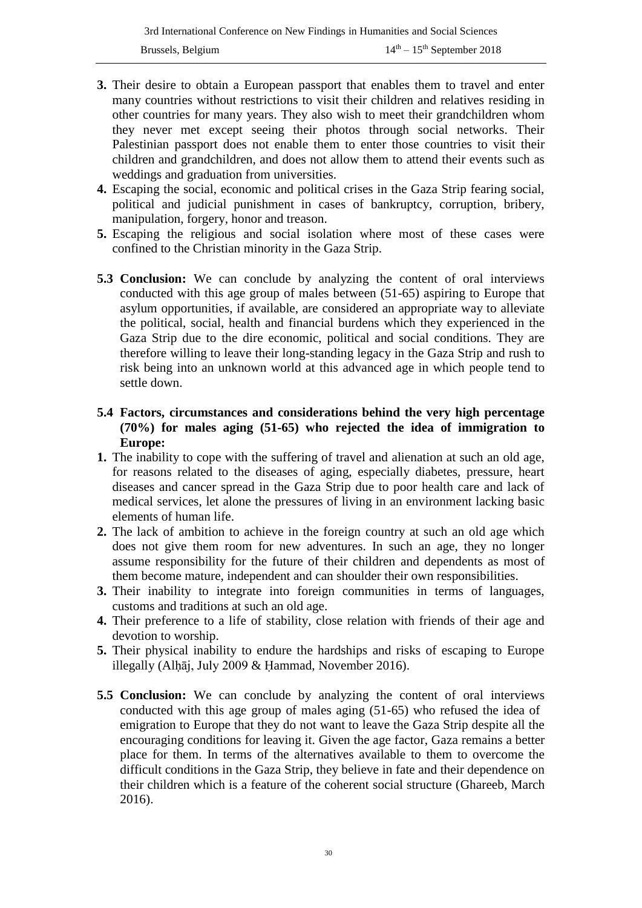- **3.** Their desire to obtain a European passport that enables them to travel and enter many countries without restrictions to visit their children and relatives residing in other countries for many years. They also wish to meet their grandchildren whom they never met except seeing their photos through social networks. Their Palestinian passport does not enable them to enter those countries to visit their children and grandchildren, and does not allow them to attend their events such as weddings and graduation from universities.
- **4.** Escaping the social, economic and political crises in the Gaza Strip fearing social, political and judicial punishment in cases of bankruptcy, corruption, bribery, manipulation, forgery, honor and treason.
- **5.** Escaping the religious and social isolation where most of these cases were confined to the Christian minority in the Gaza Strip.
- **5.3 Conclusion:** We can conclude by analyzing the content of oral interviews conducted with this age group of males between (51-65) aspiring to Europe that asylum opportunities, if available, are considered an appropriate way to alleviate the political, social, health and financial burdens which they experienced in the Gaza Strip due to the dire economic, political and social conditions. They are therefore willing to leave their long-standing legacy in the Gaza Strip and rush to risk being into an unknown world at this advanced age in which people tend to settle down.

#### **5.4 Factors, circumstances and considerations behind the very high percentage (70%) for males aging (51-65) who rejected the idea of immigration to Europe:**

- **1.** The inability to cope with the suffering of travel and alienation at such an old age, for reasons related to the diseases of aging, especially diabetes, pressure, heart diseases and cancer spread in the Gaza Strip due to poor health care and lack of medical services, let alone the pressures of living in an environment lacking basic elements of human life.
- **2.** The lack of ambition to achieve in the foreign country at such an old age which does not give them room for new adventures. In such an age, they no longer assume responsibility for the future of their children and dependents as most of them become mature, independent and can shoulder their own responsibilities.
- **3.** Their inability to integrate into foreign communities in terms of languages, customs and traditions at such an old age.
- **4.** Their preference to a life of stability, close relation with friends of their age and devotion to worship.
- **5.** Their physical inability to endure the hardships and risks of escaping to Europe illegally (Alhāj, July 2009 & Hammad, November 2016).
- **5.5 Conclusion:** We can conclude by analyzing the content of oral interviews conducted with this age group of males aging (51-65) who refused the idea of emigration to Europe that they do not want to leave the Gaza Strip despite all the encouraging conditions for leaving it. Given the age factor, Gaza remains a better place for them. In terms of the alternatives available to them to overcome the difficult conditions in the Gaza Strip, they believe in fate and their dependence on their children which is a feature of the coherent social structure (Ghareeb, March 2016).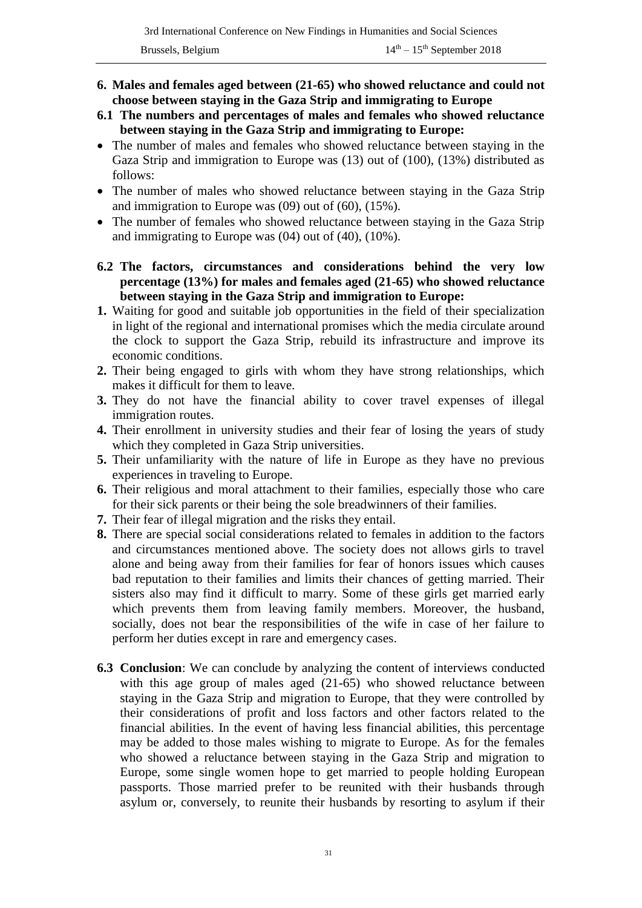- **6. Males and females aged between (21-65) who showed reluctance and could not choose between staying in the Gaza Strip and immigrating to Europe**
- **6.1 The numbers and percentages of males and females who showed reluctance between staying in the Gaza Strip and immigrating to Europe:**
- The number of males and females who showed reluctance between staying in the Gaza Strip and immigration to Europe was (13) out of (100), (13%) distributed as follows:
- The number of males who showed reluctance between staying in the Gaza Strip and immigration to Europe was (09) out of (60), (15%).
- The number of females who showed reluctance between staying in the Gaza Strip and immigrating to Europe was (04) out of (40), (10%).
- **6.2 The factors, circumstances and considerations behind the very low percentage (13%) for males and females aged (21-65) who showed reluctance between staying in the Gaza Strip and immigration to Europe:**
- **1.** Waiting for good and suitable job opportunities in the field of their specialization in light of the regional and international promises which the media circulate around the clock to support the Gaza Strip, rebuild its infrastructure and improve its economic conditions.
- **2.** Their being engaged to girls with whom they have strong relationships, which makes it difficult for them to leave.
- **3.** They do not have the financial ability to cover travel expenses of illegal immigration routes.
- **4.** Their enrollment in university studies and their fear of losing the years of study which they completed in Gaza Strip universities.
- **5.** Their unfamiliarity with the nature of life in Europe as they have no previous experiences in traveling to Europe.
- **6.** Their religious and moral attachment to their families, especially those who care for their sick parents or their being the sole breadwinners of their families.
- **7.** Their fear of illegal migration and the risks they entail.
- **8.** There are special social considerations related to females in addition to the factors and circumstances mentioned above. The society does not allows girls to travel alone and being away from their families for fear of honors issues which causes bad reputation to their families and limits their chances of getting married. Their sisters also may find it difficult to marry. Some of these girls get married early which prevents them from leaving family members. Moreover, the husband, socially, does not bear the responsibilities of the wife in case of her failure to perform her duties except in rare and emergency cases.
- **6.3 Conclusion**: We can conclude by analyzing the content of interviews conducted with this age group of males aged (21-65) who showed reluctance between staying in the Gaza Strip and migration to Europe, that they were controlled by their considerations of profit and loss factors and other factors related to the financial abilities. In the event of having less financial abilities, this percentage may be added to those males wishing to migrate to Europe. As for the females who showed a reluctance between staying in the Gaza Strip and migration to Europe, some single women hope to get married to people holding European passports. Those married prefer to be reunited with their husbands through asylum or, conversely, to reunite their husbands by resorting to asylum if their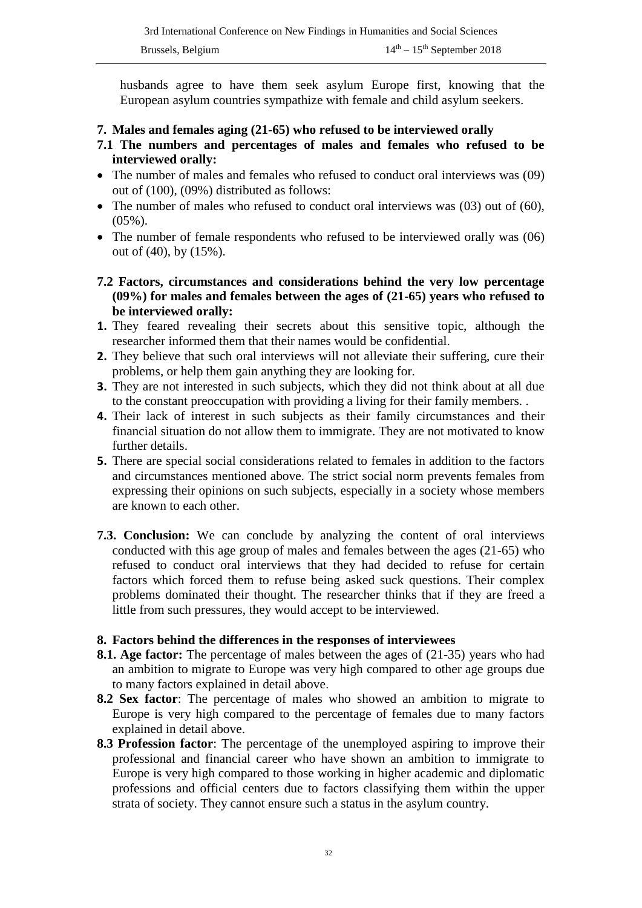husbands agree to have them seek asylum Europe first, knowing that the European asylum countries sympathize with female and child asylum seekers.

- **7. Males and females aging (21-65) who refused to be interviewed orally**
- **7.1 The numbers and percentages of males and females who refused to be interviewed orally:**
- The number of males and females who refused to conduct oral interviews was (09) out of (100), (09%) distributed as follows:
- The number of males who refused to conduct oral interviews was (03) out of (60),  $(05\%)$ .
- The number of female respondents who refused to be interviewed orally was (06) out of (40), by (15%).
- **7.2 Factors, circumstances and considerations behind the very low percentage (09%) for males and females between the ages of (21-65) years who refused to be interviewed orally:**
- **1.** They feared revealing their secrets about this sensitive topic, although the researcher informed them that their names would be confidential.
- **2.** They believe that such oral interviews will not alleviate their suffering, cure their problems, or help them gain anything they are looking for.
- **3.** They are not interested in such subjects, which they did not think about at all due to the constant preoccupation with providing a living for their family members. .
- **4.** Their lack of interest in such subjects as their family circumstances and their financial situation do not allow them to immigrate. They are not motivated to know further details.
- **5.** There are special social considerations related to females in addition to the factors and circumstances mentioned above. The strict social norm prevents females from expressing their opinions on such subjects, especially in a society whose members are known to each other.
- **7.3. Conclusion:** We can conclude by analyzing the content of oral interviews conducted with this age group of males and females between the ages (21-65) who refused to conduct oral interviews that they had decided to refuse for certain factors which forced them to refuse being asked suck questions. Their complex problems dominated their thought. The researcher thinks that if they are freed a little from such pressures, they would accept to be interviewed.

#### **8. Factors behind the differences in the responses of interviewees**

- **8.1. Age factor:** The percentage of males between the ages of (21-35) years who had an ambition to migrate to Europe was very high compared to other age groups due to many factors explained in detail above.
- **8.2 Sex factor**: The percentage of males who showed an ambition to migrate to Europe is very high compared to the percentage of females due to many factors explained in detail above.
- **8.3 Profession factor**: The percentage of the unemployed aspiring to improve their professional and financial career who have shown an ambition to immigrate to Europe is very high compared to those working in higher academic and diplomatic professions and official centers due to factors classifying them within the upper strata of society. They cannot ensure such a status in the asylum country.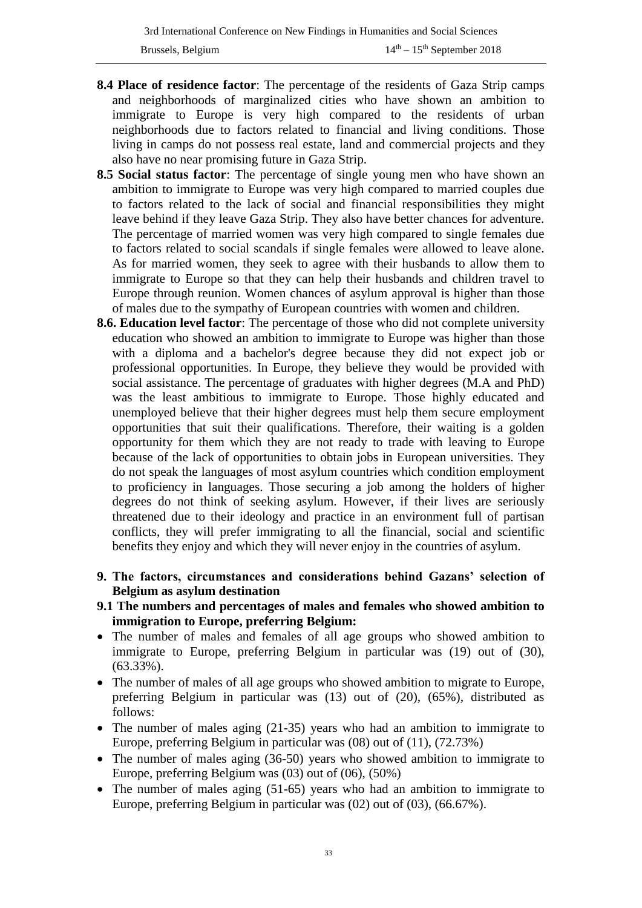- **8.4 Place of residence factor**: The percentage of the residents of Gaza Strip camps and neighborhoods of marginalized cities who have shown an ambition to immigrate to Europe is very high compared to the residents of urban neighborhoods due to factors related to financial and living conditions. Those living in camps do not possess real estate, land and commercial projects and they also have no near promising future in Gaza Strip.
- **8.5 Social status factor**: The percentage of single young men who have shown an ambition to immigrate to Europe was very high compared to married couples due to factors related to the lack of social and financial responsibilities they might leave behind if they leave Gaza Strip. They also have better chances for adventure. The percentage of married women was very high compared to single females due to factors related to social scandals if single females were allowed to leave alone. As for married women, they seek to agree with their husbands to allow them to immigrate to Europe so that they can help their husbands and children travel to Europe through reunion. Women chances of asylum approval is higher than those of males due to the sympathy of European countries with women and children.
- **8.6. Education level factor**: The percentage of those who did not complete university education who showed an ambition to immigrate to Europe was higher than those with a diploma and a bachelor's degree because they did not expect job or professional opportunities. In Europe, they believe they would be provided with social assistance. The percentage of graduates with higher degrees (M.A and PhD) was the least ambitious to immigrate to Europe. Those highly educated and unemployed believe that their higher degrees must help them secure employment opportunities that suit their qualifications. Therefore, their waiting is a golden opportunity for them which they are not ready to trade with leaving to Europe because of the lack of opportunities to obtain jobs in European universities. They do not speak the languages of most asylum countries which condition employment to proficiency in languages. Those securing a job among the holders of higher degrees do not think of seeking asylum. However, if their lives are seriously threatened due to their ideology and practice in an environment full of partisan conflicts, they will prefer immigrating to all the financial, social and scientific benefits they enjoy and which they will never enjoy in the countries of asylum.
- **9. The factors, circumstances and considerations behind Gazans' selection of Belgium as asylum destination**
- **9.1 The numbers and percentages of males and females who showed ambition to immigration to Europe, preferring Belgium:**
- The number of males and females of all age groups who showed ambition to immigrate to Europe, preferring Belgium in particular was (19) out of (30), (63.33%).
- The number of males of all age groups who showed ambition to migrate to Europe, preferring Belgium in particular was (13) out of (20), (65%), distributed as follows:
- The number of males aging (21-35) years who had an ambition to immigrate to Europe, preferring Belgium in particular was (08) out of (11), (72.73%)
- The number of males aging (36-50) years who showed ambition to immigrate to Europe, preferring Belgium was (03) out of (06), (50%)
- The number of males aging (51-65) years who had an ambition to immigrate to Europe, preferring Belgium in particular was (02) out of (03), (66.67%).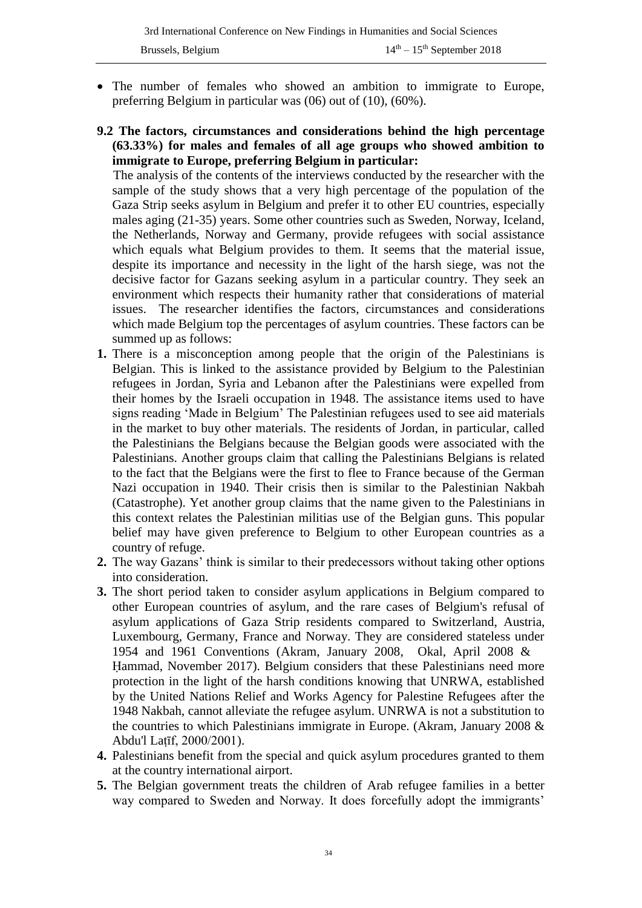- The number of females who showed an ambition to immigrate to Europe, preferring Belgium in particular was (06) out of (10), (60%).
- **9.2 The factors, circumstances and considerations behind the high percentage (63.33%) for males and females of all age groups who showed ambition to immigrate to Europe, preferring Belgium in particular:**

 The analysis of the contents of the interviews conducted by the researcher with the sample of the study shows that a very high percentage of the population of the Gaza Strip seeks asylum in Belgium and prefer it to other EU countries, especially males aging (21-35) years. Some other countries such as Sweden, Norway, Iceland, the Netherlands, Norway and Germany, provide refugees with social assistance which equals what Belgium provides to them. It seems that the material issue, despite its importance and necessity in the light of the harsh siege, was not the decisive factor for Gazans seeking asylum in a particular country. They seek an environment which respects their humanity rather that considerations of material issues. The researcher identifies the factors, circumstances and considerations which made Belgium top the percentages of asylum countries. These factors can be summed up as follows:

- **1.** There is a misconception among people that the origin of the Palestinians is Belgian. This is linked to the assistance provided by Belgium to the Palestinian refugees in Jordan, Syria and Lebanon after the Palestinians were expelled from their homes by the Israeli occupation in 1948. The assistance items used to have signs reading 'Made in Belgium' The Palestinian refugees used to see aid materials in the market to buy other materials. The residents of Jordan, in particular, called the Palestinians the Belgians because the Belgian goods were associated with the Palestinians. Another groups claim that calling the Palestinians Belgians is related to the fact that the Belgians were the first to flee to France because of the German Nazi occupation in 1940. Their crisis then is similar to the Palestinian Nakbah (Catastrophe). Yet another group claims that the name given to the Palestinians in this context relates the Palestinian militias use of the Belgian guns. This popular belief may have given preference to Belgium to other European countries as a country of refuge.
- **2.** The way Gazans' think is similar to their predecessors without taking other options into consideration.
- **3.** The short period taken to consider asylum applications in Belgium compared to other European countries of asylum, and the rare cases of Belgium's refusal of asylum applications of Gaza Strip residents compared to Switzerland, Austria, Luxembourg, Germany, France and Norway. They are considered stateless under 1954 and 1961 Conventions (Akram, January 2008, Okal, April 2008 & Ḥammad, November 2017). Belgium considers that these Palestinians need more protection in the light of the harsh conditions knowing that UNRWA, established by the United Nations Relief and Works Agency for Palestine Refugees after the 1948 Nakbah, cannot alleviate the refugee asylum. UNRWA is not a substitution to the countries to which Palestinians immigrate in Europe. (Akram, January 2008 & Abdu'l Laṭīf, 2000/2001).
- **4.** Palestinians benefit from the special and quick asylum procedures granted to them at the country international airport.
- **5.** The Belgian government treats the children of Arab refugee families in a better way compared to Sweden and Norway. It does forcefully adopt the immigrants'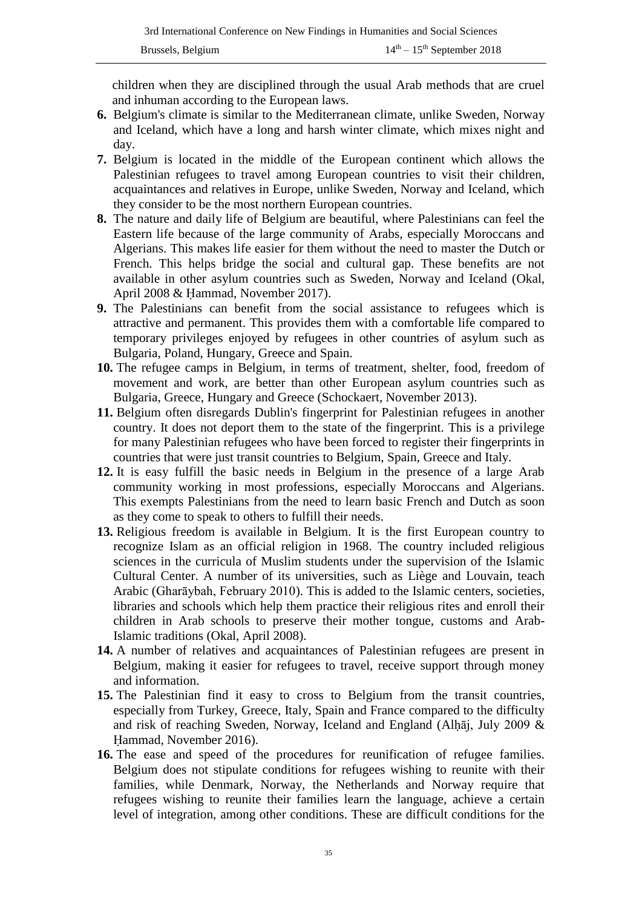children when they are disciplined through the usual Arab methods that are cruel and inhuman according to the European laws.

- **6.** Belgium's climate is similar to the Mediterranean climate, unlike Sweden, Norway and Iceland, which have a long and harsh winter climate, which mixes night and day.
- **7.** Belgium is located in the middle of the European continent which allows the Palestinian refugees to travel among European countries to visit their children, acquaintances and relatives in Europe, unlike Sweden, Norway and Iceland, which they consider to be the most northern European countries.
- **8.** The nature and daily life of Belgium are beautiful, where Palestinians can feel the Eastern life because of the large community of Arabs, especially Moroccans and Algerians. This makes life easier for them without the need to master the Dutch or French. This helps bridge the social and cultural gap. These benefits are not available in other asylum countries such as Sweden, Norway and Iceland (Okal, April 2008 & Ḥammad, November 2017).
- **9.** The Palestinians can benefit from the social assistance to refugees which is attractive and permanent. This provides them with a comfortable life compared to temporary privileges enjoyed by refugees in other countries of asylum such as Bulgaria, Poland, Hungary, Greece and Spain.
- **10.** The refugee camps in Belgium, in terms of treatment, shelter, food, freedom of movement and work, are better than other European asylum countries such as Bulgaria, Greece, Hungary and Greece (Schockaert, November 2013).
- **11.** Belgium often disregards Dublin's fingerprint for Palestinian refugees in another country. It does not deport them to the state of the fingerprint. This is a privilege for many Palestinian refugees who have been forced to register their fingerprints in countries that were just transit countries to Belgium, Spain, Greece and Italy.
- **12.** It is easy fulfill the basic needs in Belgium in the presence of a large Arab community working in most professions, especially Moroccans and Algerians. This exempts Palestinians from the need to learn basic French and Dutch as soon as they come to speak to others to fulfill their needs.
- **13.** Religious freedom is available in Belgium. It is the first European country to recognize Islam as an official religion in 1968. The country included religious sciences in the curricula of Muslim students under the supervision of the Islamic Cultural Center. A number of its universities, such as Liège and Louvain, teach Arabic (Gharāybah, February 2010). This is added to the Islamic centers, societies, libraries and schools which help them practice their religious rites and enroll their children in Arab schools to preserve their mother tongue, customs and Arab-Islamic traditions (Okal, April 2008).
- **14.** A number of relatives and acquaintances of Palestinian refugees are present in Belgium, making it easier for refugees to travel, receive support through money and information.
- **15.** The Palestinian find it easy to cross to Belgium from the transit countries, especially from Turkey, Greece, Italy, Spain and France compared to the difficulty and risk of reaching Sweden, Norway, Iceland and England (Alḥāj, July 2009 & Ḥammad, November 2016).
- **16.** The ease and speed of the procedures for reunification of refugee families. Belgium does not stipulate conditions for refugees wishing to reunite with their families, while Denmark, Norway, the Netherlands and Norway require that refugees wishing to reunite their families learn the language, achieve a certain level of integration, among other conditions. These are difficult conditions for the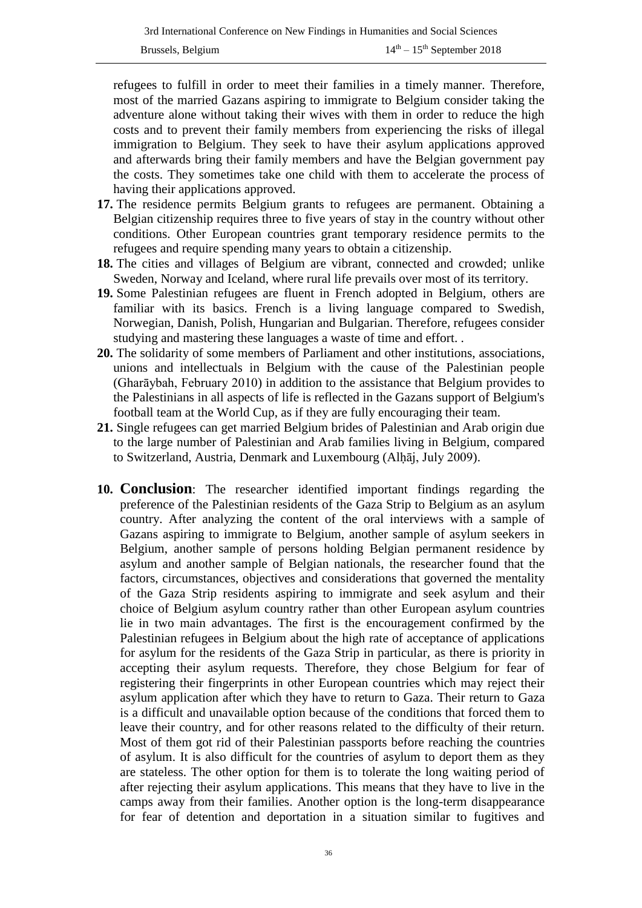refugees to fulfill in order to meet their families in a timely manner. Therefore, most of the married Gazans aspiring to immigrate to Belgium consider taking the adventure alone without taking their wives with them in order to reduce the high costs and to prevent their family members from experiencing the risks of illegal immigration to Belgium. They seek to have their asylum applications approved and afterwards bring their family members and have the Belgian government pay the costs. They sometimes take one child with them to accelerate the process of having their applications approved.

- **17.** The residence permits Belgium grants to refugees are permanent. Obtaining a Belgian citizenship requires three to five years of stay in the country without other conditions. Other European countries grant temporary residence permits to the refugees and require spending many years to obtain a citizenship.
- **18.** The cities and villages of Belgium are vibrant, connected and crowded; unlike Sweden, Norway and Iceland, where rural life prevails over most of its territory.
- **19.** Some Palestinian refugees are fluent in French adopted in Belgium, others are familiar with its basics. French is a living language compared to Swedish, Norwegian, Danish, Polish, Hungarian and Bulgarian. Therefore, refugees consider studying and mastering these languages a waste of time and effort. .
- **20.** The solidarity of some members of Parliament and other institutions, associations, unions and intellectuals in Belgium with the cause of the Palestinian people (Gharāybah, February 2010) in addition to the assistance that Belgium provides to the Palestinians in all aspects of life is reflected in the Gazans support of Belgium's football team at the World Cup, as if they are fully encouraging their team.
- **21.** Single refugees can get married Belgium brides of Palestinian and Arab origin due to the large number of Palestinian and Arab families living in Belgium, compared to Switzerland, Austria, Denmark and Luxembourg (Alḥāj, July 2009).
- **10. Conclusion**: The researcher identified important findings regarding the preference of the Palestinian residents of the Gaza Strip to Belgium as an asylum country. After analyzing the content of the oral interviews with a sample of Gazans aspiring to immigrate to Belgium, another sample of asylum seekers in Belgium, another sample of persons holding Belgian permanent residence by asylum and another sample of Belgian nationals, the researcher found that the factors, circumstances, objectives and considerations that governed the mentality of the Gaza Strip residents aspiring to immigrate and seek asylum and their choice of Belgium asylum country rather than other European asylum countries lie in two main advantages. The first is the encouragement confirmed by the Palestinian refugees in Belgium about the high rate of acceptance of applications for asylum for the residents of the Gaza Strip in particular, as there is priority in accepting their asylum requests. Therefore, they chose Belgium for fear of registering their fingerprints in other European countries which may reject their asylum application after which they have to return to Gaza. Their return to Gaza is a difficult and unavailable option because of the conditions that forced them to leave their country, and for other reasons related to the difficulty of their return. Most of them got rid of their Palestinian passports before reaching the countries of asylum. It is also difficult for the countries of asylum to deport them as they are stateless. The other option for them is to tolerate the long waiting period of after rejecting their asylum applications. This means that they have to live in the camps away from their families. Another option is the long-term disappearance for fear of detention and deportation in a situation similar to fugitives and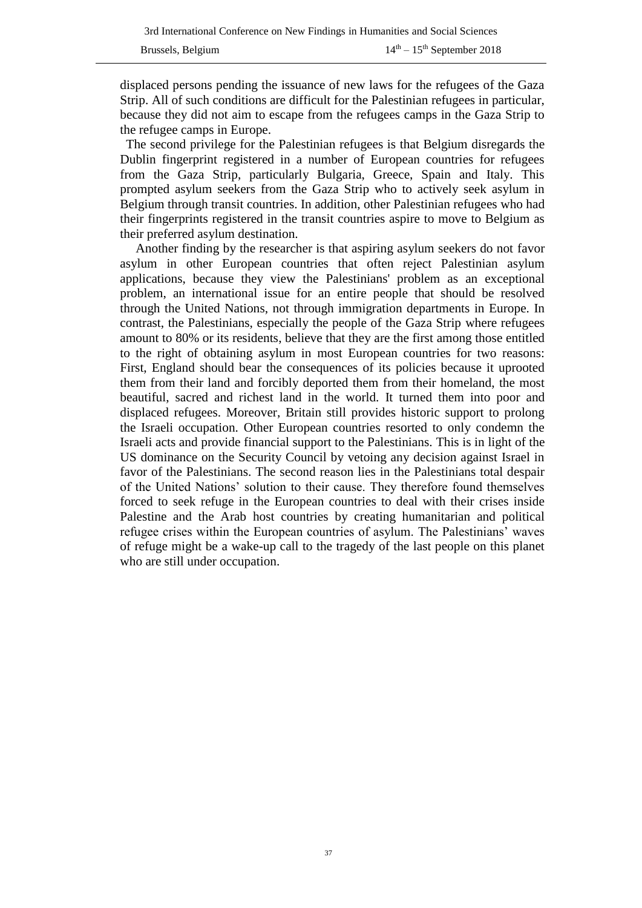displaced persons pending the issuance of new laws for the refugees of the Gaza Strip. All of such conditions are difficult for the Palestinian refugees in particular, because they did not aim to escape from the refugees camps in the Gaza Strip to the refugee camps in Europe.

 The second privilege for the Palestinian refugees is that Belgium disregards the Dublin fingerprint registered in a number of European countries for refugees from the Gaza Strip, particularly Bulgaria, Greece, Spain and Italy. This prompted asylum seekers from the Gaza Strip who to actively seek asylum in Belgium through transit countries. In addition, other Palestinian refugees who had their fingerprints registered in the transit countries aspire to move to Belgium as their preferred asylum destination.

Another finding by the researcher is that aspiring asylum seekers do not favor asylum in other European countries that often reject Palestinian asylum applications, because they view the Palestinians' problem as an exceptional problem, an international issue for an entire people that should be resolved through the United Nations, not through immigration departments in Europe. In contrast, the Palestinians, especially the people of the Gaza Strip where refugees amount to 80% or its residents, believe that they are the first among those entitled to the right of obtaining asylum in most European countries for two reasons: First, England should bear the consequences of its policies because it uprooted them from their land and forcibly deported them from their homeland, the most beautiful, sacred and richest land in the world. It turned them into poor and displaced refugees. Moreover, Britain still provides historic support to prolong the Israeli occupation. Other European countries resorted to only condemn the Israeli acts and provide financial support to the Palestinians. This is in light of the US dominance on the Security Council by vetoing any decision against Israel in favor of the Palestinians. The second reason lies in the Palestinians total despair of the United Nations' solution to their cause. They therefore found themselves forced to seek refuge in the European countries to deal with their crises inside Palestine and the Arab host countries by creating humanitarian and political refugee crises within the European countries of asylum. The Palestinians' waves of refuge might be a wake-up call to the tragedy of the last people on this planet who are still under occupation.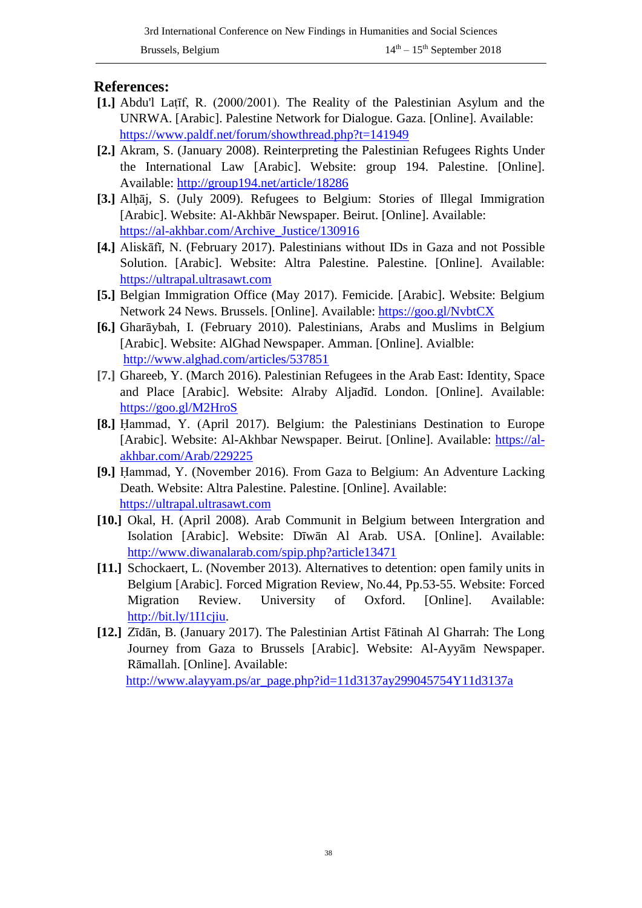### **References:**

- **[1.]** Abdu'l Laṭīf, R. (2000/2001). The Reality of the Palestinian Asylum and the UNRWA. [Arabic]. Palestine Network for Dialogue. Gaza. [Online]. Available: <https://www.paldf.net/forum/showthread.php?t=141949>
- **[2.]** Akram, S. (January 2008). Reinterpreting the Palestinian Refugees Rights Under the International Law [Arabic]. Website: group 194. Palestine. [Online]. Available: <http://group194.net/article/18286>
- **[3.]** Alḥāj, S. (July 2009). Refugees to Belgium: Stories of Illegal Immigration [Arabic]. Website: Al-Akhbār Newspaper. Beirut. [Online]. Available: [https://al-akhbar.com/Archive\\_Justice/130916](https://al-akhbar.com/Archive_Justice/130916)
- **[4.]** Aliskāfī, N. (February 2017). Palestinians without IDs in Gaza and not Possible Solution. [Arabic]. Website: Altra Palestine. Palestine. [Online]. Available: [https://ultrapal.ultrasawt.com](https://ultrapal.ultrasawt.com/)
- **[5.]** Belgian Immigration Office (May 2017). Femicide. [Arabic]. Website: Belgium Network 24 News. Brussels. [Online]. Available: <https://goo.gl/NvbtCX>
- **[6.]** Gharāybah, I. (February 2010). Palestinians, Arabs and Muslims in Belgium [Arabic]. Website: AlGhad Newspaper. Amman. [Online]. Avialble: <http://www.alghad.com/articles/537851>
- **[7.]** Ghareeb, Y. (March 2016). Palestinian Refugees in the Arab East: Identity, Space and Place [Arabic]. Website: Alraby Aljadīd. London. [Online]. Available: <https://goo.gl/M2HroS>
- **[8.]** Ḥammad, Y. (April 2017). Belgium: the Palestinians Destination to Europe [Arabic]. Website: Al-Akhbar Newspaper. Beirut. [Online]. Available: [https://al](https://al-akhbar.com/Arab/229225)[akhbar.com/Arab/229225](https://al-akhbar.com/Arab/229225)
- **[9.]** Ḥammad, Y. (November 2016). From Gaza to Belgium: An Adventure Lacking Death. Website: Altra Palestine. Palestine. [Online]. Available: [https://ultrapal.ultrasawt.com](https://ultrapal.ultrasawt.com/)
- **[10.]** Okal, H. (April 2008). Arab Communit in Belgium between Intergration and Isolation [Arabic]. Website: Dīwān Al Arab. USA. [Online]. Available: <http://www.diwanalarab.com/spip.php?article13471>
- **[11.]** Schockaert, L. (November 2013). Alternatives to detention: open family units in Belgium [Arabic]. Forced Migration Review, No.44, Pp.53-55. Website: Forced Migration Review. University of Oxford. [Online]. Available: [http://bit.ly/1I1cjiu.](http://bit.ly/1I1cjiu)
- **[12.]** Zīdān, B. (January 2017). The Palestinian Artist Fātinah Al Gharrah: The Long Journey from Gaza to Brussels [Arabic]. Website: Al-Ayyām Newspaper. Rāmallah. [Online]. Available: [http://www.alayyam.ps/ar\\_page.php?id=11d3137ay299045754Y11d3137a](http://www.alayyam.ps/ar_page.php?id=11d3137ay299045754Y11d3137a)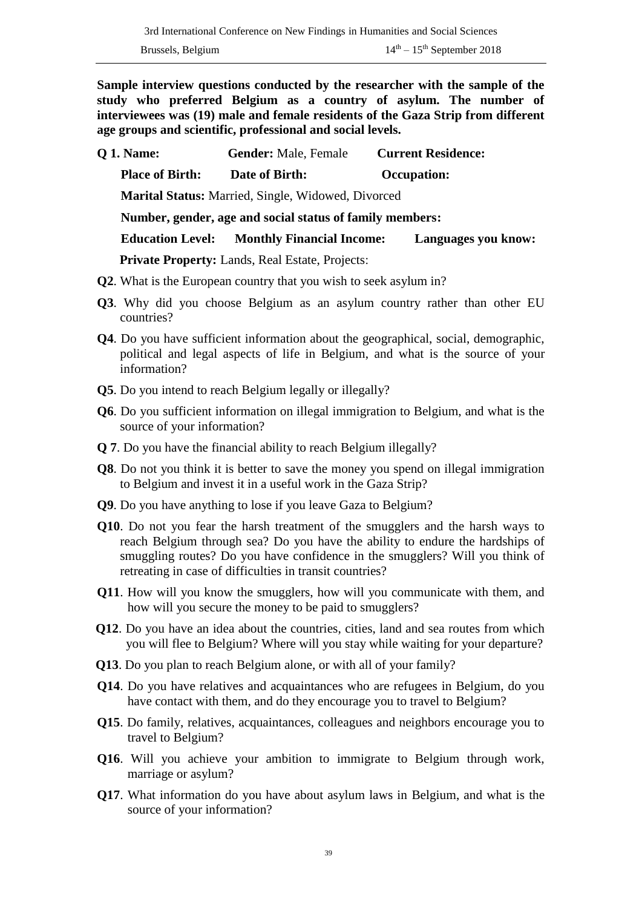**Sample interview questions conducted by the researcher with the sample of the study who preferred Belgium as a country of asylum. The number of interviewees was (19) male and female residents of the Gaza Strip from different age groups and scientific, professional and social levels.** 

- **Q 1. Name: Gender:** Male, Female **Current Residence: Place of Birth: Date of Birth: Occupation: Marital Status:** Married, Single, Widowed, Divorced  **Number, gender, age and social status of family members: Education Level: Monthly Financial Income: Languages you know: Private Property:** Lands, Real Estate, Projects:
- **Q2**. What is the European country that you wish to seek asylum in?
- **Q3**. Why did you choose Belgium as an asylum country rather than other EU countries?
- **Q4**. Do you have sufficient information about the geographical, social, demographic, political and legal aspects of life in Belgium, and what is the source of your information?
- **Q5**. Do you intend to reach Belgium legally or illegally?
- **Q6**. Do you sufficient information on illegal immigration to Belgium, and what is the source of your information?
- **Q 7**. Do you have the financial ability to reach Belgium illegally?
- **Q8**. Do not you think it is better to save the money you spend on illegal immigration to Belgium and invest it in a useful work in the Gaza Strip?
- **Q9**. Do you have anything to lose if you leave Gaza to Belgium?
- **Q10**. Do not you fear the harsh treatment of the smugglers and the harsh ways to reach Belgium through sea? Do you have the ability to endure the hardships of smuggling routes? Do you have confidence in the smugglers? Will you think of retreating in case of difficulties in transit countries?
- **Q11**. How will you know the smugglers, how will you communicate with them, and how will you secure the money to be paid to smugglers?
- **Q12**. Do you have an idea about the countries, cities, land and sea routes from which you will flee to Belgium? Where will you stay while waiting for your departure?
- **Q13**. Do you plan to reach Belgium alone, or with all of your family?
- **Q14**. Do you have relatives and acquaintances who are refugees in Belgium, do you have contact with them, and do they encourage you to travel to Belgium?
- **Q15**. Do family, relatives, acquaintances, colleagues and neighbors encourage you to travel to Belgium?
- **Q16**. Will you achieve your ambition to immigrate to Belgium through work, marriage or asylum?
- **Q17**. What information do you have about asylum laws in Belgium, and what is the source of your information?